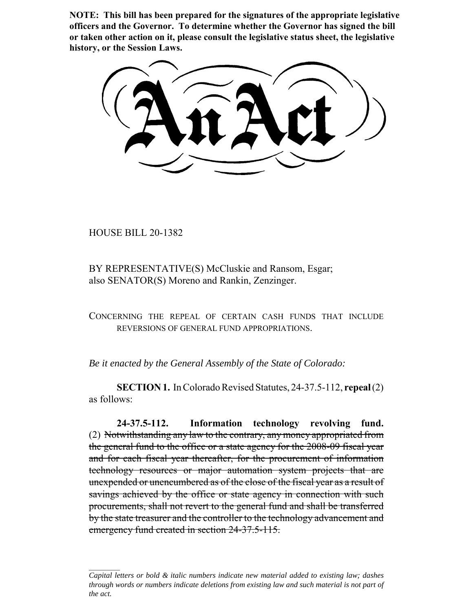**NOTE: This bill has been prepared for the signatures of the appropriate legislative officers and the Governor. To determine whether the Governor has signed the bill or taken other action on it, please consult the legislative status sheet, the legislative history, or the Session Laws.**

HOUSE BILL 20-1382

BY REPRESENTATIVE(S) McCluskie and Ransom, Esgar; also SENATOR(S) Moreno and Rankin, Zenzinger.

CONCERNING THE REPEAL OF CERTAIN CASH FUNDS THAT INCLUDE REVERSIONS OF GENERAL FUND APPROPRIATIONS.

*Be it enacted by the General Assembly of the State of Colorado:*

**SECTION 1.** In Colorado Revised Statutes, 24-37.5-112, **repeal** (2) as follows:

**24-37.5-112. Information technology revolving fund.** (2) Notwithstanding any law to the contrary, any money appropriated from the general fund to the office or a state agency for the 2008-09 fiscal year and for each fiscal year thereafter, for the procurement of information technology resources or major automation system projects that are unexpended or unencumbered as of the close of the fiscal year as a result of savings achieved by the office or state agency in connection with such procurements, shall not revert to the general fund and shall be transferred by the state treasurer and the controller to the technology advancement and emergency fund created in section 24-37.5-115.

*Capital letters or bold & italic numbers indicate new material added to existing law; dashes through words or numbers indicate deletions from existing law and such material is not part of the act.*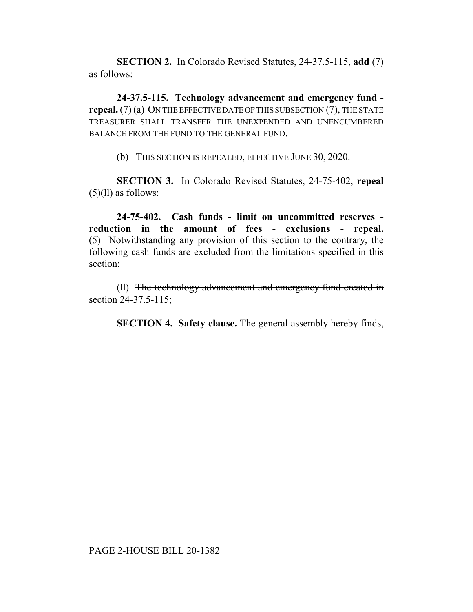**SECTION 2.** In Colorado Revised Statutes, 24-37.5-115, **add** (7) as follows:

**24-37.5-115. Technology advancement and emergency fund repeal.** (7) (a) ON THE EFFECTIVE DATE OF THIS SUBSECTION (7), THE STATE TREASURER SHALL TRANSFER THE UNEXPENDED AND UNENCUMBERED BALANCE FROM THE FUND TO THE GENERAL FUND.

(b) THIS SECTION IS REPEALED, EFFECTIVE JUNE 30, 2020.

**SECTION 3.** In Colorado Revised Statutes, 24-75-402, **repeal** (5)(ll) as follows:

**24-75-402. Cash funds - limit on uncommitted reserves reduction in the amount of fees - exclusions - repeal.** (5) Notwithstanding any provision of this section to the contrary, the following cash funds are excluded from the limitations specified in this section:

(ll) The technology advancement and emergency fund created in section 24-37.5-115;

**SECTION 4. Safety clause.** The general assembly hereby finds,